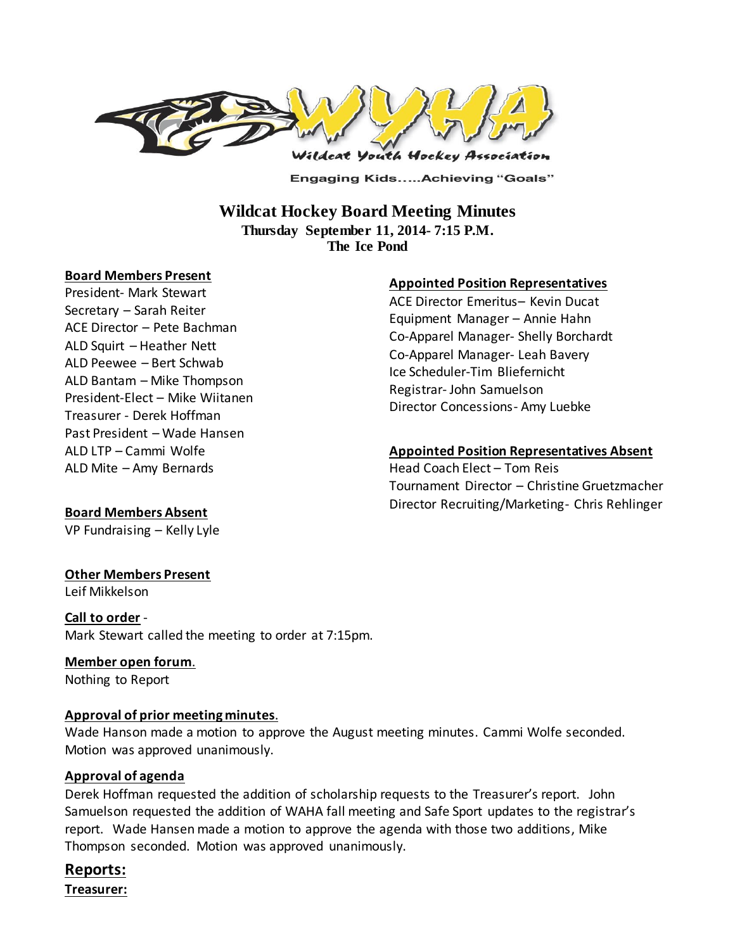

**Engaging Kids.....Achieving "Goals"** 

# **Wildcat Hockey Board Meeting Minutes Thursday September 11, 2014- 7:15 P.M.**

**The Ice Pond**

#### **Board Members Present**

President- Mark Stewart Secretary – Sarah Reiter ACE Director – Pete Bachman ALD Squirt – Heather Nett ALD Peewee – Bert Schwab ALD Bantam – Mike Thompson President-Elect – Mike Wiitanen Treasurer - Derek Hoffman Past President – Wade Hansen ALD LTP – Cammi Wolfe ALD Mite – Amy Bernards

## **Appointed Position Representatives**

ACE Director Emeritus– Kevin Ducat Equipment Manager – Annie Hahn Co-Apparel Manager- Shelly Borchardt Co-Apparel Manager- Leah Bavery Ice Scheduler-Tim Bliefernicht Registrar- John Samuelson Director Concessions- Amy Luebke

#### **Appointed Position Representatives Absent**

Head Coach Elect – Tom Reis Tournament Director – Christine Gruetzmacher Director Recruiting/Marketing- Chris Rehlinger

# **Board Members Absent**

VP Fundraising – Kelly Lyle

## **Other Members Present**

Leif Mikkelson

## **Call to order** - Mark Stewart called the meeting to order at 7:15pm.

# **Member open forum**.

Nothing to Report

## **Approval of prior meeting minutes**.

Wade Hanson made a motion to approve the August meeting minutes. Cammi Wolfe seconded. Motion was approved unanimously.

## **Approval of agenda**

Derek Hoffman requested the addition of scholarship requests to the Treasurer's report. John Samuelson requested the addition of WAHA fall meeting and Safe Sport updates to the registrar's report. Wade Hansen made a motion to approve the agenda with those two additions, Mike Thompson seconded. Motion was approved unanimously.

# **Reports:**

**Treasurer:**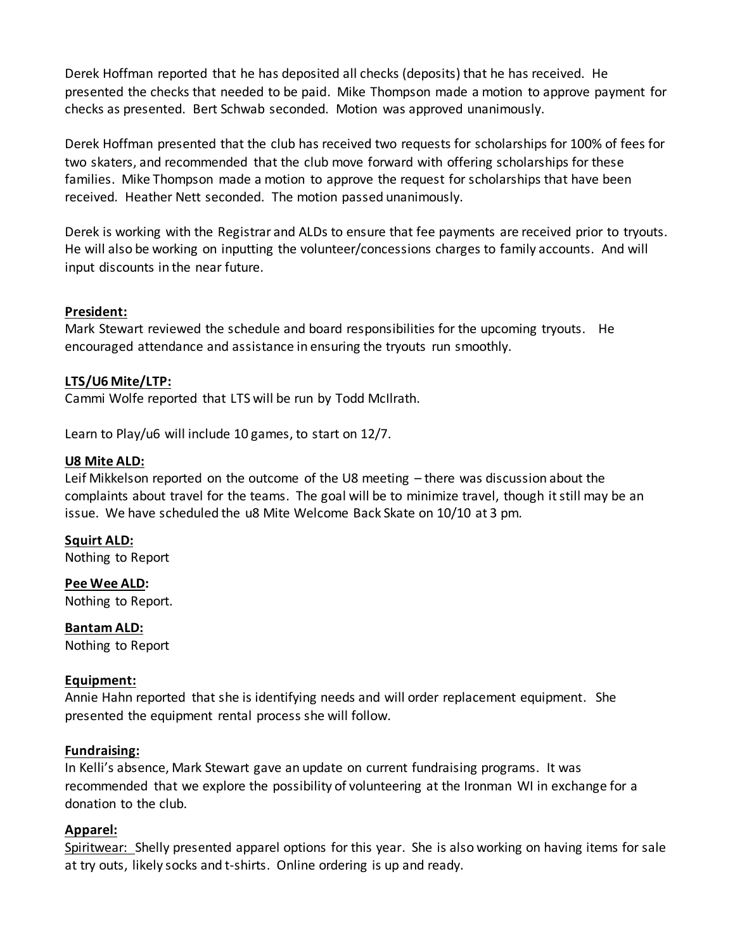Derek Hoffman reported that he has deposited all checks (deposits) that he has received. He presented the checks that needed to be paid. Mike Thompson made a motion to approve payment for checks as presented. Bert Schwab seconded. Motion was approved unanimously.

Derek Hoffman presented that the club has received two requests for scholarships for 100% of fees for two skaters, and recommended that the club move forward with offering scholarships for these families. Mike Thompson made a motion to approve the request for scholarships that have been received. Heather Nett seconded. The motion passed unanimously.

Derek is working with the Registrar and ALDs to ensure that fee payments are received prior to tryouts. He will also be working on inputting the volunteer/concessions charges to family accounts. And will input discounts in the near future.

## **President:**

Mark Stewart reviewed the schedule and board responsibilities for the upcoming tryouts. He encouraged attendance and assistance in ensuring the tryouts run smoothly.

## **LTS/U6 Mite/LTP:**

Cammi Wolfe reported that LTS will be run by Todd McIlrath.

Learn to Play/u6 will include 10 games, to start on 12/7.

## **U8 Mite ALD:**

Leif Mikkelson reported on the outcome of the U8 meeting – there was discussion about the complaints about travel for the teams. The goal will be to minimize travel, though it still may be an issue. We have scheduled the u8 Mite Welcome Back Skate on 10/10 at 3 pm.

**Squirt ALD:**  Nothing to Report

**Pee Wee ALD:**  Nothing to Report.

**Bantam ALD:**  Nothing to Report

## **Equipment:**

Annie Hahn reported that she is identifying needs and will order replacement equipment. She presented the equipment rental process she will follow.

## **Fundraising:**

In Kelli's absence, Mark Stewart gave an update on current fundraising programs. It was recommended that we explore the possibility of volunteering at the Ironman WI in exchange for a donation to the club.

## **Apparel:**

Spiritwear: Shelly presented apparel options for this year. She is also working on having items for sale at try outs, likely socks and t-shirts. Online ordering is up and ready.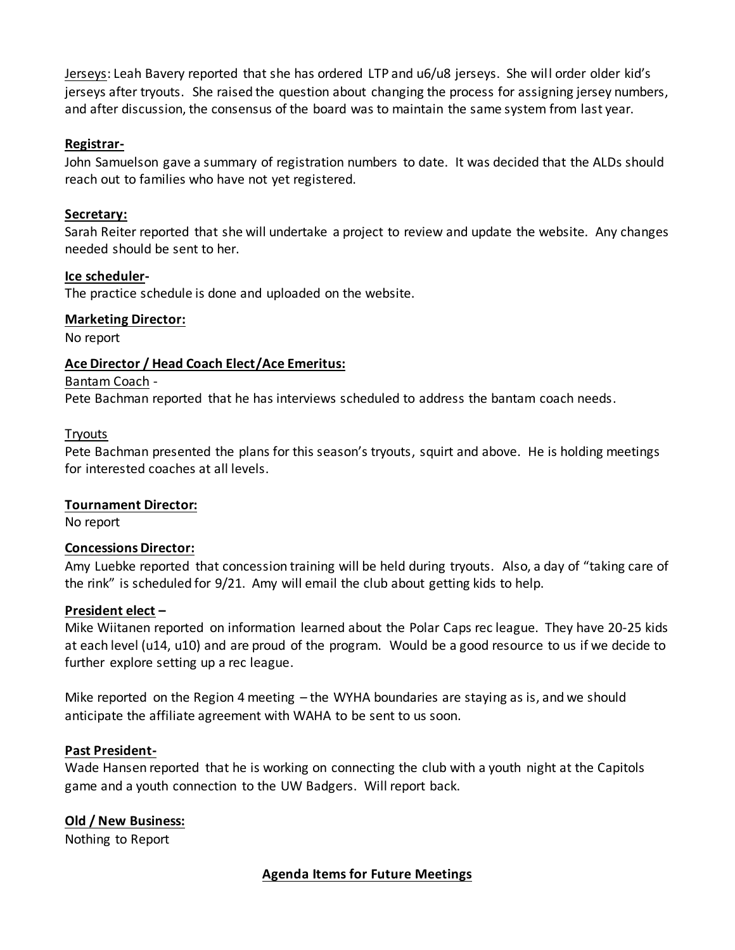Jerseys: Leah Bavery reported that she has ordered LTP and u6/u8 jerseys. She will order older kid's jerseys after tryouts. She raised the question about changing the process for assigning jersey numbers, and after discussion, the consensus of the board was to maintain the same system from last year.

## **Registrar-**

John Samuelson gave a summary of registration numbers to date. It was decided that the ALDs should reach out to families who have not yet registered.

#### **Secretary:**

Sarah Reiter reported that she will undertake a project to review and update the website. Any changes needed should be sent to her.

#### **Ice scheduler-**

The practice schedule is done and uploaded on the website.

#### **Marketing Director:**

No report

## **Ace Director / Head Coach Elect/Ace Emeritus:**

#### Bantam Coach -

Pete Bachman reported that he has interviews scheduled to address the bantam coach needs.

#### **Tryouts**

Pete Bachman presented the plans for this season's tryouts, squirt and above. He is holding meetings for interested coaches at all levels.

#### **Tournament Director:**

No report

#### **Concessions Director:**

Amy Luebke reported that concession training will be held during tryouts. Also, a day of "taking care of the rink" is scheduled for 9/21. Amy will email the club about getting kids to help.

#### **President elect –**

Mike Wiitanen reported on information learned about the Polar Caps rec league. They have 20-25 kids at each level (u14, u10) and are proud of the program. Would be a good resource to us if we decide to further explore setting up a rec league.

Mike reported on the Region 4 meeting – the WYHA boundaries are staying as is, and we should anticipate the affiliate agreement with WAHA to be sent to us soon.

#### **Past President-**

Wade Hansen reported that he is working on connecting the club with a youth night at the Capitols game and a youth connection to the UW Badgers. Will report back.

## **Old / New Business:**

Nothing to Report

# **Agenda Items for Future Meetings**